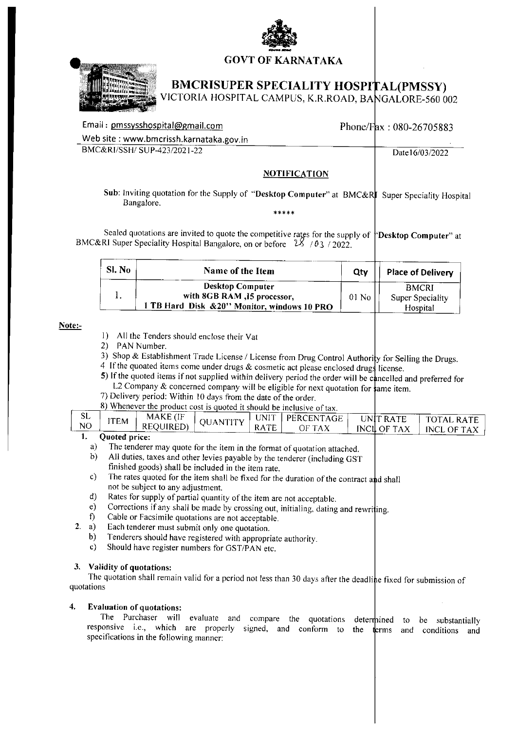



# **BMCRISUPER SPECIALITY HOSPITAL(PMSSY)**

ICTORIA HOSPITAL CAMPUS, K.R.ROAD, BANGALORE-560 002

| Email: pmssysshospital@gmail.com        |                     | Phone/Fax: $080-26705883$ |
|-----------------------------------------|---------------------|---------------------------|
| Web site: www.bmcrissh.karnataka.gov.in |                     |                           |
| BMC&RI/SSH/SUP-423/2021-22              |                     | Date16/03/2022            |
|                                         | <b>NOTIFICATION</b> |                           |

Sub: Inviting quotation for the Supply of "Desktop Computer" at BMC&RI Super Speciality Hospital Bangalore.

Sealed quotations are invited to quote the competitive rates for the supply of <sup>k</sup>Desktop Computer" at BMC&RI Super Speciality Hospital Bangalore, on or before  $28/03/2022$ .

| SI. No | Name of the Item                                                                                       | Otv     | <b>Place of Delivery</b>                            |
|--------|--------------------------------------------------------------------------------------------------------|---------|-----------------------------------------------------|
|        | <b>Desktop Computer</b><br>with 8GB RAM, 15 processor,<br>1 TB Hard Disk & 20" Monitor, windows 10 PRO | $01$ No | <b>BMCRI</b><br><b>Super Speciality</b><br>Hospital |

## Note:-

 $2.$ 

- 1) All the Tenders should enclose their Vat
- 2) PAN Number.
- 3) Shop & Establishment Trade License / License from Drug Control Authority for Selling the Drugs.
- 4 If the quoated items come under drugs & cosmetic act please enclosed drugs license.
- 5) If the quoted items if not supplied within delivery period the order will be cancelled and preferred for L2 Company & concerned company will be eligible for next quotation for  $\frac{1}{2}$  ame item.
- 7) Delivery period: Within 10 days from the date of the order.

|     |      |                   |                 |      | o) whenever the product cost is quoted it should be inclusive of tax. |             |               |
|-----|------|-------------------|-----------------|------|-----------------------------------------------------------------------|-------------|---------------|
| 5L. |      | MAKE (IF          |                 |      |                                                                       |             |               |
|     | ITEM |                   | <b>OUANTITY</b> | JNIT | PERCENTAGE                                                            | UNIT RATE   | . TOTAL RATE  |
|     |      | <b>REOUIRED</b> ) |                 |      |                                                                       | INCILOF TAX | INCL.<br>- OF |

#### Quoted price: 1.

- $a)$ The tenderer may quote for the item in the format of quotation attached.
- All duties, taxes and other levies payable by the tenderer (including GST  $b)$ finished goods) shall be included in the item rate.
- The rates quoted for the item shall be fixed for the duration of the contract and shall  $\mathbf{c}$ not be subject to any adjustment.
- Rates for supply of partial quantity of the item are not acceptable. d)
- Corrections if any shall be made by crossing out, initialing, dating and rewriting.  $e)$
- Cable or Facsimile quotations are not acceptable. f)
- Each tenderer must submit only one quotation. a)
- $b)$ Tenderers should have registered with appropriate authority.
- Should have register numbers for GST/PAN etc.  $\mathbf{c}$

# 3. Validity of quotations:

The quotation shall remain valid for a period not less than 30 days after the deadline fixed for submission of quotations

#### $\overline{4}$ . **Evaluation of quotations:**

The Purchaser will evaluate and compare the quotations determined to be substantially responsive i.e., which are properly signed, and conform to the terms and conditions and specifications in the following manner: